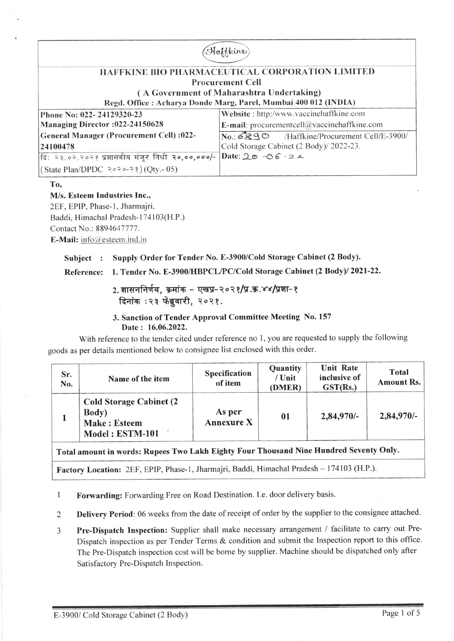| pine                                                             |                                                 |  |  |  |
|------------------------------------------------------------------|-------------------------------------------------|--|--|--|
|                                                                  |                                                 |  |  |  |
| HAFFKINE BIO PHARMACEUTICAL CORPORATION LIMITED                  |                                                 |  |  |  |
| <b>Procurement Cell</b>                                          |                                                 |  |  |  |
| (A Government of Maharashtra Undertaking)                        |                                                 |  |  |  |
| Regd. Office : Acharya Donde Marg, Parel, Mumbai 400 012 (INDIA) |                                                 |  |  |  |
| Phone No: 022-24129320-23                                        | Website: http:/www.vaccinehaffkine.com          |  |  |  |
| Managing Director :022-24150628                                  | E-mail: procurementcell $@$ vaccinehaffkine.com |  |  |  |
| General Manager (Procurement Cell) :022-                         | No.: 6890 /Haffkine/Procurement Cell/E-3900/    |  |  |  |
| 24100478                                                         | Cold Storage Cabinet (2 Body)/ 2022-23.         |  |  |  |
| दि: २३.०२.२०२१ प्रशासकीय मंजूर निधी २०,००,०००/-                  | Date: $20 - 6 - 24$                             |  |  |  |
| (State Plan/DPDC २०२०-२१) (Qty.- 05)                             |                                                 |  |  |  |

To.

### M/s. Esteem Industries Inc., 2EF, EPIP, Phase-1, Jharmajri,

Baddi, Himachal Pradesh-174103(H.P.) Contact No.: 8894647777. E-Mail: info@esteem.ind.in

# Subject : Supply Order for Tender No. E-3900/Cold Storage Cabinet (2 Body).

## Reference: 1. Tender No. E-3900/HBPCL/PC/Cold Storage Cabinet (2 Body)/ 2021-22.

# 2. शासननिर्णय, क्रमांक - एखप्र-२०२१/प्र.क्र.४४/प्रशा-१ दिनांक : २३ फेब्रुवारी, २०२१.

### 3. Sanction of Tender Approval Committee Meeting No. 157 Date: 16.06.2022.

With reference to the tender cited under reference no 1, you are requested to supply the following goods as per details mentioned below to consignee list enclosed with this order.

| Sr.<br>No. | Name of the item                                                                   | Specification<br>of item    | Quantity<br>/ Unit<br>(DMER) | <b>Unit Rate</b><br>inclusive of<br>GST(Rs.) | Total<br>Amount Rs. |
|------------|------------------------------------------------------------------------------------|-----------------------------|------------------------------|----------------------------------------------|---------------------|
|            | <b>Cold Storage Cabinet (2)</b><br>Body)<br><b>Make: Esteem</b><br>Model: ESTM-101 | As per<br><b>Annexure X</b> | 01                           | $2,84,970/-$                                 | 2,84,970/-          |

# Total amount in words: Rupees Two Lakh Eighty Four Thousand Nine Hundred Seventy Only.

Factory Location: 2EF, EPIP, Phase-1, Jharmajri, Baddi, Himachal Pradesh - 174103 (H.P.).

Forwarding: Forwarding Free on Road Destination. I.e. door delivery basis.  $\mathbf{1}$ 

Delivery Period: 06 weeks from the date of receipt of order by the supplier to the consignee attached.  $\overline{c}$ 

Pre-Dispatch Inspection: Supplier shall make necessary arrangement / facilitate to carry out Pre-3 Dispatch inspection as per Tender Terms & condition and submit the Inspection report to this office. The Pre-Dispatch inspection cost will be borne by supplier. Machine should be dispatched only after Satisfactory Pre-Dispatch Inspection.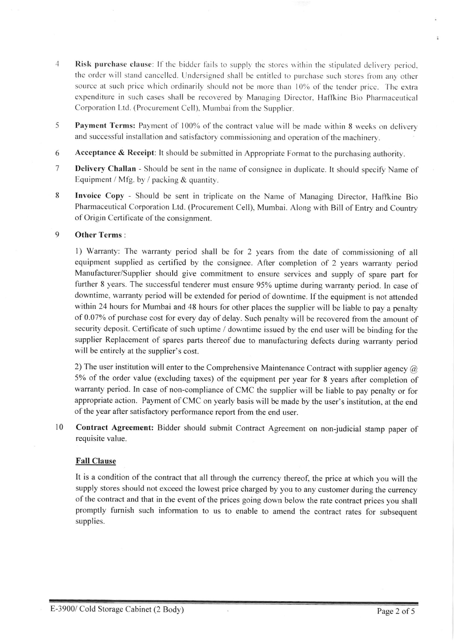- 4 Risk purchase clause: If the bidder fails to supply the stores within the stipulated delivery period. the order will stand cancelled. Undersigned shall be entitled to purchase such stores from any other source at such price which ordinarily should not be more than 10% of the tender price. The extra expenditure in such cases shall be recovered by Managing Director, Haffkine Bio Pharmaceutical Corporation Ltd. (Procurement Cell), Mumbai from the Supplier.
- 5 Payment Terms: Payment of 100% of the contract value will be made within 8 weeks on delivery and successful installation and satisfactory commissioning and operation ofthe machinery.
- 6 Acceptance & Receipt: It should be submitted in Appropriate Format to the purchasing authority.
- 7 Delivery Challan Should be sent in the name of consignee in duplicate. It should specify Name of Equipment / Mfg. by / packing & quantity.
- 8 Invoice Copy Should be sent in triplicate on the Name of Managing Director, Haffkine Bio Pharmaceutical Corporation Ltd. (Procurement Cell), Mumbai. Along with Bill of Entry and Counrry of Origin Certificate of the consignment.

### 9 Other Terms

l) Warranty: The warranty period shall be for 2 years from the date of commissioning of all equipment supplied as certified by the consignee. After completion of 2 years warranty period Manufacturer/Supplier should give commitment to ensure services and supply of spare part for further 8 years. The successful tenderer must ensure 95% uptime during warranty period. In case of downtime, warranty period will be extended for period of downtime. If the equipment is not attended within 24 hours for Mumbai and 48 hours for other places the supplier will be liable to pay a penalty of 0.07% of purchase cost for every day of delay. Such penalty will be recovered from the amount of security deposit. Certificate of such uptime / downtime issued by the end user will be binding for the supplier Replacement of spares parts thereof due to manufacturing defects during warranty period will be entirely at the supplier's cost.

2) The user institution will enter to the Comprehensive Maintenance Contract with supplier agency  $\omega$ 5% of the order value (excluding taxes) of the equipment per year for 8 years after completion of warranty period. In case of non-compliance of CMC the supplier will be liable to pay penalty or for appropriate action. Payment of CMC on yearly basis will be made by the user's institution, at the end of the year after satisfactory performance report from the end user.

10 contract Agreement: Bidder should submit contract Agreement on non-judicial stamp paper of requisite value.

### Fall Clause

It is a condition of the contract that all through the currency thereof, the price at which you will the supply stores should not exceed the lowest price charged by you to any customer during the currency of the contract and that in the event of the prices going down below the rate contract prices you shall promptly fumish such information to us to enable to amend the contract rates for subsequent supplies.